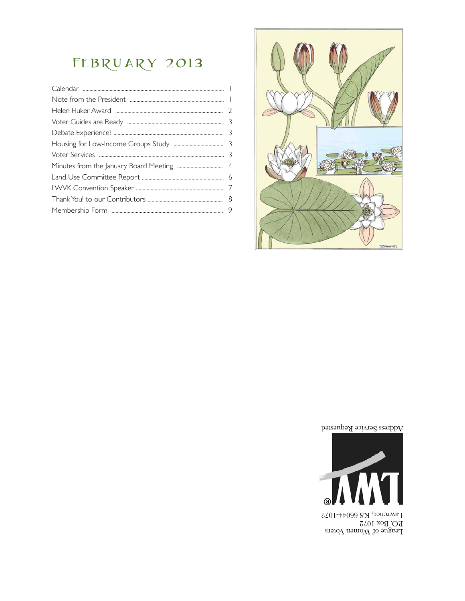## FEBRUARY 2013



Address Service Requested



Lawrence, KS 66044-1072 P.O. Box 1072<br>League of Women Voters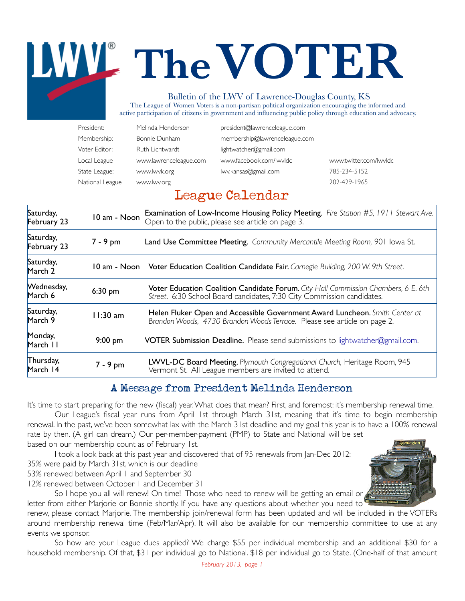# **TheVOTER** Bulletin of the LWV of Lawrence-Douglas County, KS

The League of Women Voters is a non-partisan political organization encouraging the informed and active participation of citizens in government and influencing public policy through education and advocacy.

| President:      | Melinda Henderson      | president@lawrenceleague.com  |                        |
|-----------------|------------------------|-------------------------------|------------------------|
| Membership:     | Bonnie Dunham          | membership@lawrenceleague.com |                        |
| Voter Editor:   | Ruth Lichtwardt        | lightwatcher@gmail.com        |                        |
| Local League    | www.lawrenceleague.com | www.facebook.com/lwvldc       | www.twitter.com/lwvldc |
| State League:   | www.lwvk.org           | lwy.kansas@gmail.com          | 785-234-5152           |
| National League | www.lwv.org            |                               | 202-429-1965           |

### League Calendar

| Saturday,<br>February 23 | 10 am - Noon | <b>Examination of Low-Income Housing Policy Meeting.</b> Fire Station #5, 1911 Stewart Ave.<br>Open to the public, please see article on page 3.             |
|--------------------------|--------------|--------------------------------------------------------------------------------------------------------------------------------------------------------------|
| Saturday,<br>February 23 | $7 - 9$ pm   | Land Use Committee Meeting. Community Mercantile Meeting Room, 901 lowa St.                                                                                  |
| Saturday,<br>March 2     |              | 10 am - Noon Voter Education Coalition Candidate Fair. Carnegie Building, 200 W. 9th Street.                                                                 |
| Wednesday,<br>March 6    | $6:30$ pm    | Voter Education Coalition Candidate Forum. City Hall Commission Chambers, 6 E. 6th<br>Street. 6:30 School Board candidates, 7:30 City Commission candidates. |
| Saturday,<br>March 9     | $11:30$ am   | Helen Fluker Open and Accessible Government Award Luncheon. Smith Center at<br>Brandon Woods, 4730 Brandon Woods Terrace. Please see article on page 2.      |
| Monday,<br>March 11      | $9:00$ pm    | VOTER Submission Deadline. Please send submissions to lightwatcher@gmail.com.                                                                                |
| Thursday,<br>March 14    | $7 - 9$ pm   | LWVL-DC Board Meeting. Plymouth Congregational Church, Heritage Room, 945<br>Vermont St. All League members are invited to attend.                           |
|                          |              |                                                                                                                                                              |

#### A Message from President Melinda Henderson

It's time to start preparing for the new (fiscal) year. What does that mean? First, and foremost: it's membership renewal time.

Our League's fiscal year runs from April 1st through March 31st, meaning that it's time to begin membership renewal. In the past, we've been somewhat lax with the March 31st deadline and my goal this year is to have a 100% renewal rate by then. (A girl can dream.) Our per-member-payment (PMP) to State and National will be set based on our membership count as of February 1st.

I took a look back at this past year and discovered that of 95 renewals from Jan-Dec 2012:

35% were paid by March 31st, which is our deadline

53% renewed between April 1 and September 30

12% renewed between October 1 and December 31

So I hope you all will renew! On time! Those who need to renew will be getting an email or letter from either Marjorie or Bonnie shortly. If you have any questions about whether you need to

renew, please contact Marjorie. The membership join/renewal form has been updated and will be included in the VOTERs around membership renewal time (Feb/Mar/Apr). It will also be available for our membership committee to use at any events we sponsor.

So how are your League dues applied? We charge \$55 per individual membership and an additional \$30 for a household membership. Of that, \$31 per individual go to National. \$18 per individual go to State. (One-half of that amount

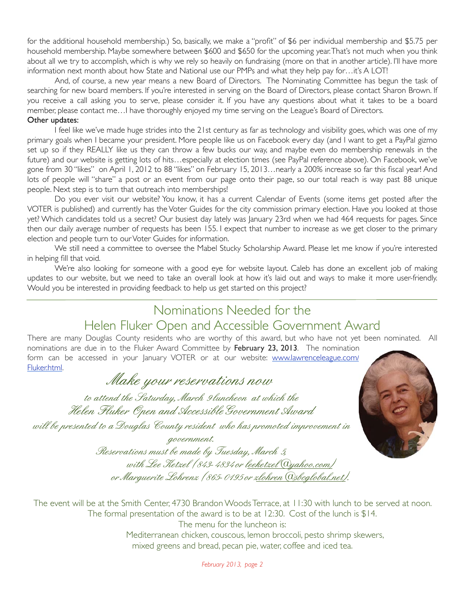for the additional household membership.) So, basically, we make a "profit" of \$6 per individual membership and \$5.75 per household membership. Maybe somewhere between \$600 and \$650 for the upcoming year. That's not much when you think about all we try to accomplish, which is why we rely so heavily on fundraising (more on that in another article). I'll have more information next month about how State and National use our PMPs and what they help pay for…it's A LOT!

And, of course, a new year means a new Board of Directors. The Nominating Committee has begun the task of searching for new board members. If you're interested in serving on the Board of Directors, please contact Sharon Brown. If you receive a call asking you to serve, please consider it. If you have any questions about what it takes to be a board member, please contact me…I have thoroughly enjoyed my time serving on the League's Board of Directors. Other updates:

I feel like we've made huge strides into the 21st century as far as technology and visibility goes, which was one of my primary goals when I became your president. More people like us on Facebook every day (and I want to get a PayPal gizmo set up so if they REALLY like us they can throw a few bucks our way, and maybe even do membership renewals in the future) and our website is getting lots of hits…especially at election times (see PayPal reference above). On Facebook, we've gone from 30 "likes" on April 1, 2012 to 88 "likes" on February 15, 2013…nearly a 200% increase so far this fiscal year! And lots of people will "share" a post or an event from our page onto their page, so our total reach is way past 88 unique people. Next step is to turn that outreach into memberships!

Do you ever visit our website? You know, it has a current Calendar of Events (some items get posted after the VOTER is published) and currently has the Voter Guides for the city commission primary election. Have you looked at those yet? Which candidates told us a secret? Our busiest day lately was January 23rd when we had 464 requests for pages. Since then our daily average number of requests has been 155. I expect that number to increase as we get closer to the primary election and people turn to our Voter Guides for information.

We still need a committee to oversee the Mabel Stucky Scholarship Award. Please let me know if you're interested in helping fill that void.

We're also looking for someone with a good eye for website layout. Caleb has done an excellent job of making updates to our website, but we need to take an overall look at how it's laid out and ways to make it more user-friendly. Would you be interested in providing feedback to help us get started on this project?

### Nominations Needed for the Helen Fluker Open and Accessible Government Award

There are many Douglas County residents who are worthy of this award, but who have not yet been nominated. All nominations are due in to the Fluker Award Committee by February 23, 2013. The nomination

form can be accessed in your January VOTER or at our website: www.lawrenceleague.com/ Fluker.html.

### *Make your reservations now*

*to attend the Saturday, March 9 luncheon at which the Helen Fluker Open and AccessibleGovernment Award* 

*will be presented to a Douglas County resident who has promoted improvement in* 

*government. Reservations must be made by Tuesday, March 5, with Lee Ketzel (843-4834 or leeketzel@yahoo.com) or Marguerite Lohrenz (865-0195 or zlohren@sbcglobal.net).*

The event will be at the Smith Center, 4730 Brandon Woods Terrace, at 11:30 with lunch to be served at noon. The formal presentation of the award is to be at 12:30. Cost of the lunch is \$14. The menu for the luncheon is: Mediterranean chicken, couscous, lemon broccoli, pesto shrimp skewers, mixed greens and bread, pecan pie, water, coffee and iced tea.

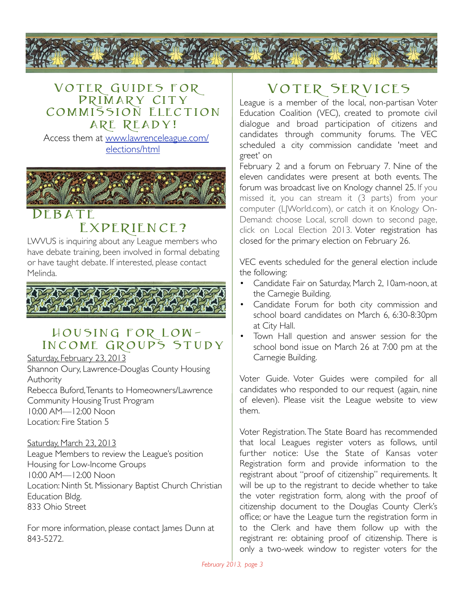

#### VOTER GUIDES FOR Primary City COMMISSION ELECTION are Ready!

Access them at www.lawrenceleague.com/ elections/html



### $FBATF$ EXPERIENCE?

LWVUS is inquiring about any League members who have debate training, been involved in formal debating or have taught debate. If interested, please contact Melinda.



#### Housing for Low-INCOME GROUPS STUDY

Saturday, February 23, 2013

Shannon Oury, Lawrence-Douglas County Housing **Authority** Rebecca Buford, Tenants to Homeowners/Lawrence Community Housing Trust Program 10:00 AM—12:00 Noon

Location: Fire Station 5

#### Saturday, March 23, 2013

League Members to review the League's position Housing for Low-Income Groups 10:00 AM—12:00 Noon Location: Ninth St. Missionary Baptist Church Christian Education Bldg. 833 Ohio Street

For more information, please contact James Dunn at 843-5272.

### Voter Services

League is a member of the local, non-partisan Voter Education Coalition (VEC), created to promote civil dialogue and broad participation of citizens and candidates through community forums. The VEC scheduled a city commission candidate 'meet and greet' on

February 2 and a forum on February 7. Nine of the eleven candidates were present at both events. The forum was broadcast live on Knology channel 25. If you missed it, you can stream it (3 parts) from your computer (LJWorld.com), or catch it on Knology On-Demand: choose Local, scroll down to second page, click on Local Election 2013. Voter registration has closed for the primary election on February 26.

VEC events scheduled for the general election include the following:

- Candidate Fair on Saturday, March 2, 10am-noon, at the Carnegie Building.
- Candidate Forum for both city commission and school board candidates on March 6, 6:30-8:30pm at City Hall.
- Town Hall question and answer session for the school bond issue on March 26 at 7:00 pm at the Carnegie Building.

Voter Guide. Voter Guides were compiled for all candidates who responded to our request (again, nine of eleven). Please visit the League website to view them.

Voter Registration. The State Board has recommended that local Leagues register voters as follows, until further notice: Use the State of Kansas voter Registration form and provide information to the registrant about "proof of citizenship" requirements. It will be up to the registrant to decide whether to take the voter registration form, along with the proof of citizenship document to the Douglas County Clerk's office; or have the League turn the registration form in to the Clerk and have them follow up with the registrant re: obtaining proof of citizenship. There is only a two-week window to register voters for the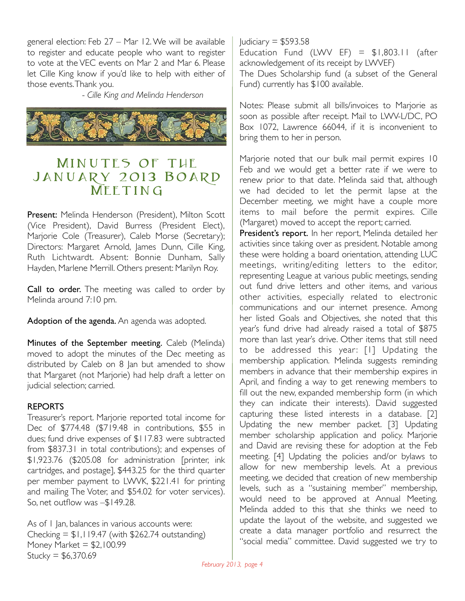general election: Feb 27 – Mar 12. We will be available to register and educate people who want to register to vote at the VEC events on Mar 2 and Mar 6. Please let Cille King know if you'd like to help with either of those events. Thank you.

! ! - *Cille King and Melinda Henderson*



### MINUTES OF THE January 2013 Board MEETING

Present: Melinda Henderson (President), Milton Scott (Vice President), David Burress (President Elect), Marjorie Cole (Treasurer), Caleb Morse (Secretary); Directors: Margaret Arnold, James Dunn, Cille King, Ruth Lichtwardt. Absent: Bonnie Dunham, Sally Hayden, Marlene Merrill. Others present: Marilyn Roy.

Call to order. The meeting was called to order by Melinda around 7:10 pm.

Adoption of the agenda. An agenda was adopted.

Minutes of the September meeting. Caleb (Melinda) moved to adopt the minutes of the Dec meeting as distributed by Caleb on 8 Jan but amended to show that Margaret (not Marjorie) had help draft a letter on judicial selection; carried.

#### REPORTS

Treasurer's report. Marjorie reported total income for Dec of \$774.48 (\$719.48 in contributions, \$55 in dues; fund drive expenses of \$117.83 were subtracted from \$837.31 in total contributions); and expenses of \$1,923.76 (\$205.08 for administration [printer, ink cartridges, and postage], \$443.25 for the third quarter per member payment to LWVK, \$221.41 for printing and mailing The Voter, and \$54.02 for voter services). So, net outflow was –\$149.28.

As of 1 Jan, balances in various accounts were: Checking  $=$  \$1,119.47 (with \$262.74 outstanding) Money Market  $= $2,100.99$  $Stucky = $6,370.69$ 

 $Iudiciary = $593.58$ Education Fund (LWV EF) =  $$1,803.11$  (after acknowledgement of its receipt by LWVEF) The Dues Scholarship fund (a subset of the General Fund) currently has \$100 available.

Notes: Please submit all bills/invoices to Marjorie as soon as possible after receipt. Mail to LWV-L/DC, PO Box 1072, Lawrence 66044, if it is inconvenient to bring them to her in person.

Marjorie noted that our bulk mail permit expires 10 Feb and we would get a better rate if we were to renew prior to that date. Melinda said that, although we had decided to let the permit lapse at the December meeting, we might have a couple more items to mail before the permit expires. Cille (Margaret) moved to accept the report; carried.

President's report. In her report, Melinda detailed her activities since taking over as president. Notable among these were holding a board orientation, attending LUC meetings, writing/editing letters to the editor, representing League at various public meetings, sending out fund drive letters and other items, and various other activities, especially related to electronic communications and our internet presence. Among her listed Goals and Objectives, she noted that this year's fund drive had already raised a total of \$875 more than last year's drive. Other items that still need to be addressed this year: [1] Updating the membership application. Melinda suggests reminding members in advance that their membership expires in April, and finding a way to get renewing members to fill out the new, expanded membership form (in which they can indicate their interests). David suggested capturing these listed interests in a database. [2] Updating the new member packet. [3] Updating member scholarship application and policy. Marjorie and David are revising these for adoption at the Feb meeting. [4] Updating the policies and/or bylaws to allow for new membership levels. At a previous meeting, we decided that creation of new membership levels, such as a "sustaining member" membership, would need to be approved at Annual Meeting. Melinda added to this that she thinks we need to update the layout of the website, and suggested we create a data manager portfolio and resurrect the "social media" committee. David suggested we try to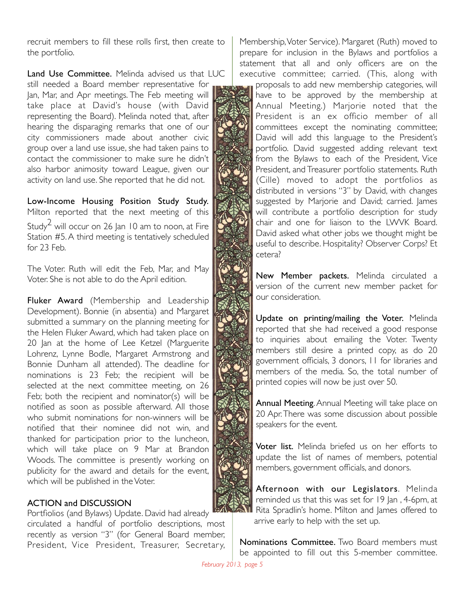recruit members to fill these rolls first, then create to the portfolio.

Land Use Committee. Melinda advised us that LUC still needed a Board member representative for Jan, Mar, and Apr meetings. The Feb meeting will take place at David's house (with David representing the Board). Melinda noted that, after hearing the disparaging remarks that one of our city commissioners made about another civic group over a land use issue, she had taken pains to contact the commissioner to make sure he didn't also harbor animosity toward League, given our activity on land use. She reported that he did not.

Low-Income Housing Position Study Study. Milton reported that the next meeting of this Study<sup>2</sup> will occur on 26 Jan 10 am to noon, at Fire Station #5. A third meeting is tentatively scheduled for 23 Feb.

The Voter. Ruth will edit the Feb, Mar, and May Voter. She is not able to do the April edition.

Fluker Award (Membership and Leadership Development). Bonnie (in absentia) and Margaret submitted a summary on the planning meeting for the Helen Fluker Award, which had taken place on 20 Jan at the home of Lee Ketzel (Marguerite Lohrenz, Lynne Bodle, Margaret Armstrong and Bonnie Dunham all attended). The deadline for nominations is 23 Feb; the recipient will be selected at the next committee meeting, on 26 Feb; both the recipient and nominator(s) will be notified as soon as possible afterward. All those who submit nominations for non-winners will be notified that their nominee did not win, and thanked for participation prior to the luncheon, which will take place on 9 Mar at Brandon Woods. The committee is presently working on publicity for the award and details for the event, which will be published in the Voter.

#### ACTION and DISCUSSION

Portfiolios (and Bylaws) Update. David had already circulated a handful of portfolio descriptions, most recently as version "3" (for General Board member, President, Vice President, Treasurer, Secretary, Membership, Voter Service). Margaret (Ruth) moved to prepare for inclusion in the Bylaws and portfolios a statement that all and only officers are on the executive committee; carried. (This, along with

proposals to add new membership categories, will have to be approved by the membership at Annual Meeting.) Marjorie noted that the President is an ex officio member of all committees except the nominating committee; David will add this language to the President's portfolio. David suggested adding relevant text from the Bylaws to each of the President, Vice President, and Treasurer portfolio statements. Ruth (Cille) moved to adopt the portfolios as distributed in versions "3" by David, with changes suggested by Marjorie and David; carried. James will contribute a portfolio description for study chair and one for liaison to the LWVK Board. David asked what other jobs we thought might be useful to describe. Hospitality? Observer Corps? Et cetera?

New Member packets. Melinda circulated a version of the current new member packet for our consideration.

Update on printing/mailing the Voter. Melinda reported that she had received a good response to inquiries about emailing the Voter. Twenty members still desire a printed copy, as do 20 government officials, 3 donors, 11 for libraries and members of the media. So, the total number of printed copies will now be just over 50.

Annual Meeting. Annual Meeting will take place on 20 Apr. There was some discussion about possible speakers for the event.

Voter list. Melinda briefed us on her efforts to update the list of names of members, potential members, government officials, and donors.

Afternoon with our Legislators. Melinda reminded us that this was set for 19 Jan , 4-6pm, at Rita Spradlin's home. Milton and James offered to arrive early to help with the set up.

Nominations Committee. Two Board members must be appointed to fill out this 5-member committee.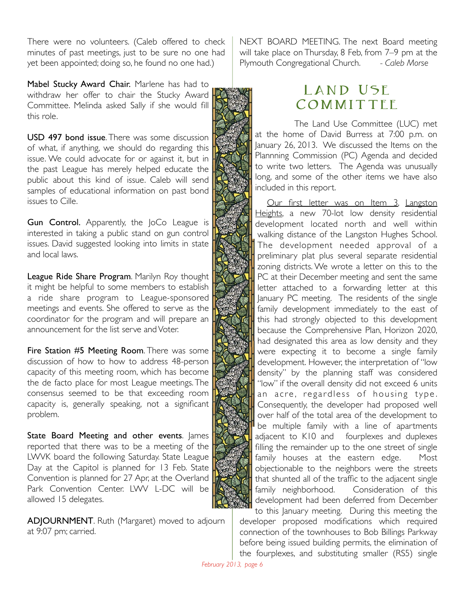There were no volunteers. (Caleb offered to check minutes of past meetings, just to be sure no one had yet been appointed; doing so, he found no one had.)

Mabel Stucky Award Chair. Marlene has had to withdraw her offer to chair the Stucky Award Committee. Melinda asked Sally if she would fill this role.

USD 497 bond issue. There was some discussion of what, if anything, we should do regarding this issue. We could advocate for or against it, but in the past League has merely helped educate the public about this kind of issue. Caleb will send samples of educational information on past bond issues to Cille.

Gun Control. Apparently, the JoCo League is interested in taking a public stand on gun control issues. David suggested looking into limits in state and local laws.

League Ride Share Program. Marilyn Roy thought it might be helpful to some members to establish a ride share program to League-sponsored meetings and events. She offered to serve as the coordinator for the program and will prepare an announcement for the list serve and Voter.

Fire Station #5 Meeting Room. There was some discussion of how to how to address 48-person capacity of this meeting room, which has become the de facto place for most League meetings. The consensus seemed to be that exceeding room capacity is, generally speaking, not a significant problem.

State Board Meeting and other events. James reported that there was to be a meeting of the LWVK board the following Saturday. State League Day at the Capitol is planned for 13 Feb. State Convention is planned for 27 Apr, at the Overland Park Convention Center. LWV L-DC will be allowed 15 delegates.

ADJOURNMENT. Ruth (Margaret) moved to adjourn at 9:07 pm; carried.

NEXT BOARD MEETING. The next Board meeting will take place on Thursday, 8 Feb, from 7–9 pm at the Plymouth Congregational Church. *- Caleb Morse*

### LAND USE COMMITTEE

The Land Use Committee (LUC) met at the home of David Burress at 7:00 p.m. on January 26, 2013. We discussed the Items on the Plannning Commission (PC) Agenda and decided to write two letters. The Agenda was unusually long, and some of the other items we have also included in this report.

Our first letter was on Item 3, Langston Heights, a new 70-lot low density residential development located north and well within walking distance of the Langston Hughes School. The development needed approval of a preliminary plat plus several separate residential zoning districts. We wrote a letter on this to the PC at their December meeting and sent the same letter attached to a forwarding letter at this January PC meeting. The residents of the single family development immediately to the east of this had strongly objected to this development because the Comprehensive Plan, Horizon 2020, had designated this area as low density and they were expecting it to become a single family development. However, the interpretation of "low density" by the planning staff was considered "low" if the overall density did not exceed 6 units an acre, regardless of housing type. Consequently, the developer had proposed well over half of the total area of the development to be multiple family with a line of apartments adjacent to K10 and fourplexes and duplexes filling the remainder up to the one street of single family houses at the eastern edge. Most objectionable to the neighbors were the streets that shunted all of the traffic to the adjacent single family neighborhood. Consideration of this development had been deferred from December to this January meeting. During this meeting the

developer proposed modifications which required connection of the townhouses to Bob Billings Parkway before being issued building permits, the elimination of the fourplexes, and substituting smaller (RS5) single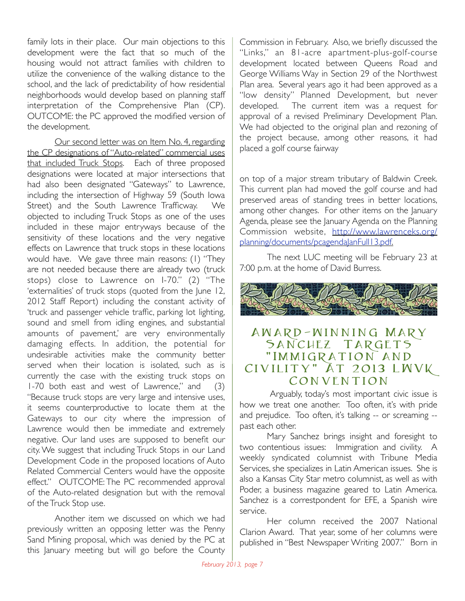family lots in their place. Our main objections to this development were the fact that so much of the housing would not attract families with children to utilize the convenience of the walking distance to the school, and the lack of predictability of how residential neighborhoods would develop based on planning staff interpretation of the Comprehensive Plan (CP). OUTCOME: the PC approved the modified version of the development.

Our second letter was on Item No. 4, regarding the CP designations of "Auto-related" commercial uses that included Truck Stops. Each of three proposed designations were located at major intersections that had also been designated "Gateways" to Lawrence, including the intersection of Highway 59 (South Iowa Street) and the South Lawrence Trafficway. We objected to including Truck Stops as one of the uses included in these major entryways because of the sensitivity of these locations and the very negative effects on Lawrence that truck stops in these locations would have. We gave three main reasons: (1) "They are not needed because there are already two (truck stops) close to Lawrence on I-70." (2) "The 'externalities' of truck stops (quoted from the June 12, 2012 Staff Report) including the constant activity of 'truck and passenger vehicle traffic, parking lot lighting, sound and smell from idling engines, and substantial amounts of pavement,' are very environmentally damaging effects. In addition, the potential for undesirable activities make the community better served when their location is isolated, such as is currently the case with the existing truck stops on 1-70 both east and west of Lawrence," and (3) "Because truck stops are very large and intensive uses, it seems counterproductive to locate them at the Gateways to our city where the impression of Lawrence would then be immediate and extremely negative. Our land uses are supposed to benefit our city. We suggest that including Truck Stops in our Land Development Code in the proposed locations of Auto Related Commercial Centers would have the opposite effect." OUTCOME: The PC recommended approval of the Auto-related designation but with the removal of the Truck Stop use.

Another item we discussed on which we had previously written an opposing letter was the Penny Sand Mining proposal, which was denied by the PC at this January meeting but will go before the County

Commission in February. Also, we briefly discussed the "Links," an 81-acre apartment-plus-golf-course development located between Queens Road and George Williams Way in Section 29 of the Northwest Plan area. Several years ago it had been approved as a "low density" Planned Development, but never developed. The current item was a request for approval of a revised Preliminary Development Plan. We had objected to the original plan and rezoning of the project because, among other reasons, it had placed a golf course fairway

on top of a major stream tributary of Baldwin Creek. This current plan had moved the golf course and had preserved areas of standing trees in better locations, among other changes. For other items on the January Agenda, please see the January Agenda on the Planning Commission website, http://www.lawrenceks.org/ planning/documents/pcagendaJanFull13.pdf.

The next LUC meeting will be February 23 at 7:00 p.m. at the home of David Burress.



#### Award-winning Mary SANCHEZ TARGETS "IMMIGRATION AND Civility" At 2013 LWVK **CONVENTION**

 Arguably, today's most important civic issue is how we treat one another. Too often, it's with pride and prejudice. Too often, it's talking -- or screaming - past each other.

Mary Sanchez brings insight and foresight to two contentious issues: Immigration and civility. A weekly syndicated columnist with Tribune Media Services, she specializes in Latin American issues. She is also a Kansas City Star metro columnist, as well as with Poder, a business magazine geared to Latin America. Sanchez is a correstpondent for EFE, a Spanish wire service.

Her column received the 2007 National Clarion Award. That year, some of her columns were published in "Best Newspaper Writing 2007." Born in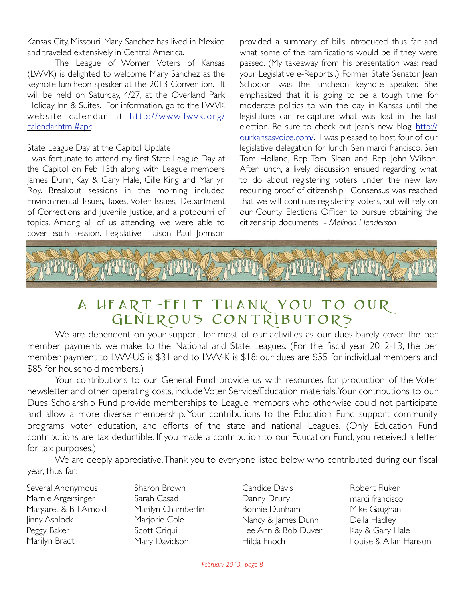Kansas City, Missouri, Mary Sanchez has lived in Mexico and traveled extensively in Central America.

The League of Women Voters of Kansas (LWVK) is delighted to welcome Mary Sanchez as the keynote luncheon speaker at the 2013 Convention. It will be held on Saturday, 4/27, at the Overland Park Holiday Inn & Suites. For information, go to the LWVK website calendar at http://www.lwvk.org/ calendar.html#apr.

#### State League Day at the Capitol Update

I was fortunate to attend my first State League Day at the Capitol on Feb 13th along with League members James Dunn, Kay & Gary Hale, Cille King and Marilyn Roy. Breakout sessions in the morning included Environmental Issues, Taxes, Voter Issues, Department of Corrections and Juvenile Justice, and a potpourri of topics. Among all of us attending, we were able to cover each session. Legislative Liaison Paul Johnson

provided a summary of bills introduced thus far and what some of the ramifications would be if they were passed. (My takeaway from his presentation was: read your Legislative e-Reports!.) Former State Senator Jean Schodorf was the luncheon keynote speaker. She emphasized that it is going to be a tough time for moderate politics to win the day in Kansas until the legislature can re-capture what was lost in the last election. Be sure to check out lean's new blog: http:// ourkansasvoice.com/. I was pleased to host four of our legislative delegation for lunch: Sen marci francisco, Sen Tom Holland, Rep Tom Sloan and Rep John Wilson. After lunch, a lively discussion ensued regarding what to do about registering voters under the new law requiring proof of citizenship. Consensus was reached that we will continue registering voters, but will rely on our County Elections Officer to pursue obtaining the citizenship documents. *- Melinda Henderson*



### A Heart-Felt Thank You to our GENEROUS CONTRIBUTORS!

We are dependent on your support for most of our activities as our dues barely cover the per member payments we make to the National and State Leagues. (For the fiscal year 2012-13, the per member payment to LWV-US is \$31 and to LWV-K is \$18; our dues are \$55 for individual members and \$85 for household members.)

Your contributions to our General Fund provide us with resources for production of the Voter newsletter and other operating costs, include Voter Service/Education materials. Your contributions to our Dues Scholarship Fund provide memberships to League members who otherwise could not participate and allow a more diverse membership. Your contributions to the Education Fund support community programs, voter education, and efforts of the state and national Leagues. (Only Education Fund contributions are tax deductible. If you made a contribution to our Education Fund, you received a letter for tax purposes.)

We are deeply appreciative. Thank you to everyone listed below who contributed during our fiscal year, thus far:

Several Anonymous Marnie Argersinger Margaret & Bill Arnold Jinny Ashlock Peggy Baker Marilyn Bradt

Sharon Brown Sarah Casad Marilyn Chamberlin Marjorie Cole Scott Criqui Mary Davidson

Candice Davis Danny Drury Bonnie Dunham Nancy & James Dunn Lee Ann & Bob Duver Hilda Enoch

Robert Fluker marci francisco Mike Gaughan Della Hadley Kay & Gary Hale Louise & Allan Hanson